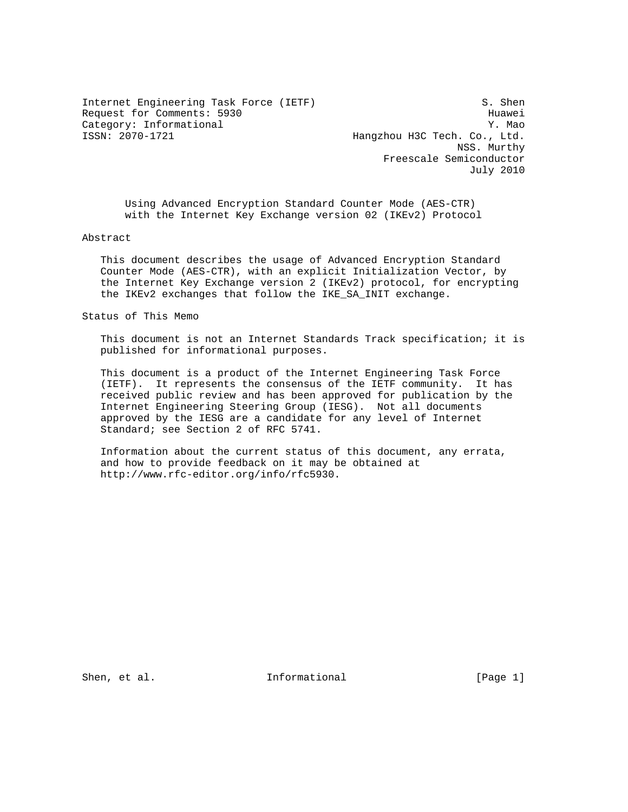Internet Engineering Task Force (IETF) S. Shen Request for Comments: 5930 Huawei Category: Informational Y. Mao

Hangzhou H3C Tech. Co., Ltd. NSS. Murthy Freescale Semiconductor July 2010

 Using Advanced Encryption Standard Counter Mode (AES-CTR) with the Internet Key Exchange version 02 (IKEv2) Protocol

Abstract

 This document describes the usage of Advanced Encryption Standard Counter Mode (AES-CTR), with an explicit Initialization Vector, by the Internet Key Exchange version 2 (IKEv2) protocol, for encrypting the IKEv2 exchanges that follow the IKE\_SA\_INIT exchange.

Status of This Memo

 This document is not an Internet Standards Track specification; it is published for informational purposes.

 This document is a product of the Internet Engineering Task Force (IETF). It represents the consensus of the IETF community. It has received public review and has been approved for publication by the Internet Engineering Steering Group (IESG). Not all documents approved by the IESG are a candidate for any level of Internet Standard; see Section 2 of RFC 5741.

 Information about the current status of this document, any errata, and how to provide feedback on it may be obtained at http://www.rfc-editor.org/info/rfc5930.

Shen, et al. The Informational The Informational (Page 1)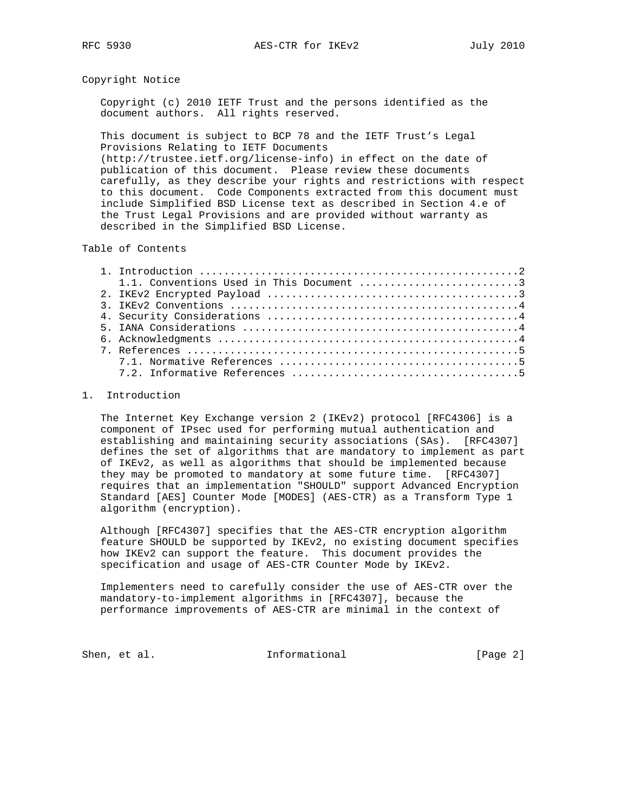#### Copyright Notice

 Copyright (c) 2010 IETF Trust and the persons identified as the document authors. All rights reserved.

 This document is subject to BCP 78 and the IETF Trust's Legal Provisions Relating to IETF Documents

 (http://trustee.ietf.org/license-info) in effect on the date of publication of this document. Please review these documents carefully, as they describe your rights and restrictions with respect to this document. Code Components extracted from this document must include Simplified BSD License text as described in Section 4.e of the Trust Legal Provisions and are provided without warranty as described in the Simplified BSD License.

### Table of Contents

| 1.1. Conventions Used in This Document 3 |
|------------------------------------------|
|                                          |
|                                          |
|                                          |
|                                          |
|                                          |
|                                          |
|                                          |
|                                          |

#### 1. Introduction

 The Internet Key Exchange version 2 (IKEv2) protocol [RFC4306] is a component of IPsec used for performing mutual authentication and establishing and maintaining security associations (SAs). [RFC4307] defines the set of algorithms that are mandatory to implement as part of IKEv2, as well as algorithms that should be implemented because they may be promoted to mandatory at some future time. [RFC4307] requires that an implementation "SHOULD" support Advanced Encryption Standard [AES] Counter Mode [MODES] (AES-CTR) as a Transform Type 1 algorithm (encryption).

 Although [RFC4307] specifies that the AES-CTR encryption algorithm feature SHOULD be supported by IKEv2, no existing document specifies how IKEv2 can support the feature. This document provides the specification and usage of AES-CTR Counter Mode by IKEv2.

 Implementers need to carefully consider the use of AES-CTR over the mandatory-to-implement algorithms in [RFC4307], because the performance improvements of AES-CTR are minimal in the context of

Shen, et al. The Informational The Informational [Page 2]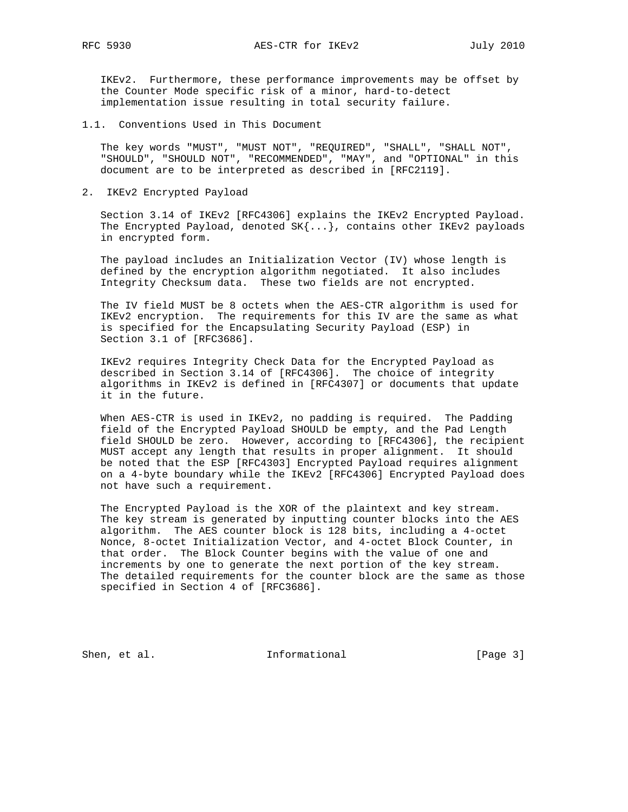IKEv2. Furthermore, these performance improvements may be offset by the Counter Mode specific risk of a minor, hard-to-detect implementation issue resulting in total security failure.

1.1. Conventions Used in This Document

 The key words "MUST", "MUST NOT", "REQUIRED", "SHALL", "SHALL NOT", "SHOULD", "SHOULD NOT", "RECOMMENDED", "MAY", and "OPTIONAL" in this document are to be interpreted as described in [RFC2119].

2. IKEv2 Encrypted Payload

 Section 3.14 of IKEv2 [RFC4306] explains the IKEv2 Encrypted Payload. The Encrypted Payload, denoted  $SK{...}$ , contains other IKEv2 payloads in encrypted form.

 The payload includes an Initialization Vector (IV) whose length is defined by the encryption algorithm negotiated. It also includes Integrity Checksum data. These two fields are not encrypted.

 The IV field MUST be 8 octets when the AES-CTR algorithm is used for IKEv2 encryption. The requirements for this IV are the same as what is specified for the Encapsulating Security Payload (ESP) in Section 3.1 of [RFC3686].

 IKEv2 requires Integrity Check Data for the Encrypted Payload as described in Section 3.14 of [RFC4306]. The choice of integrity algorithms in IKEv2 is defined in [RFC4307] or documents that update it in the future.

 When AES-CTR is used in IKEv2, no padding is required. The Padding field of the Encrypted Payload SHOULD be empty, and the Pad Length field SHOULD be zero. However, according to [RFC4306], the recipient MUST accept any length that results in proper alignment. It should be noted that the ESP [RFC4303] Encrypted Payload requires alignment on a 4-byte boundary while the IKEv2 [RFC4306] Encrypted Payload does not have such a requirement.

 The Encrypted Payload is the XOR of the plaintext and key stream. The key stream is generated by inputting counter blocks into the AES algorithm. The AES counter block is 128 bits, including a 4-octet Nonce, 8-octet Initialization Vector, and 4-octet Block Counter, in that order. The Block Counter begins with the value of one and increments by one to generate the next portion of the key stream. The detailed requirements for the counter block are the same as those specified in Section 4 of [RFC3686].

Shen, et al. 10. Informational 1. [Page 3]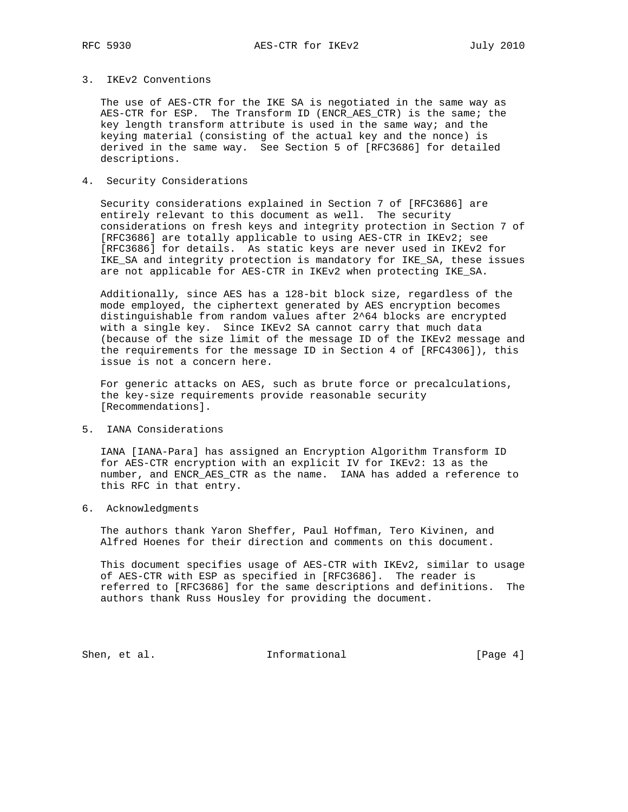# 3. IKEv2 Conventions

 The use of AES-CTR for the IKE SA is negotiated in the same way as AES-CTR for ESP. The Transform ID (ENCR\_AES\_CTR) is the same; the key length transform attribute is used in the same way; and the keying material (consisting of the actual key and the nonce) is derived in the same way. See Section 5 of [RFC3686] for detailed descriptions.

# 4. Security Considerations

 Security considerations explained in Section 7 of [RFC3686] are entirely relevant to this document as well. The security considerations on fresh keys and integrity protection in Section 7 of [RFC3686] are totally applicable to using AES-CTR in IKEv2; see [RFC3686] for details. As static keys are never used in IKEv2 for IKE\_SA and integrity protection is mandatory for IKE\_SA, these issues are not applicable for AES-CTR in IKEv2 when protecting IKE\_SA.

 Additionally, since AES has a 128-bit block size, regardless of the mode employed, the ciphertext generated by AES encryption becomes distinguishable from random values after 2^64 blocks are encrypted with a single key. Since IKEv2 SA cannot carry that much data (because of the size limit of the message ID of the IKEv2 message and the requirements for the message ID in Section 4 of [RFC4306]), this issue is not a concern here.

 For generic attacks on AES, such as brute force or precalculations, the key-size requirements provide reasonable security [Recommendations].

5. IANA Considerations

 IANA [IANA-Para] has assigned an Encryption Algorithm Transform ID for AES-CTR encryption with an explicit IV for IKEv2: 13 as the number, and ENCR\_AES\_CTR as the name. IANA has added a reference to this RFC in that entry.

6. Acknowledgments

 The authors thank Yaron Sheffer, Paul Hoffman, Tero Kivinen, and Alfred Hoenes for their direction and comments on this document.

 This document specifies usage of AES-CTR with IKEv2, similar to usage of AES-CTR with ESP as specified in [RFC3686]. The reader is referred to [RFC3686] for the same descriptions and definitions. The authors thank Russ Housley for providing the document.

Shen, et al. 10. Informational 1. [Page 4]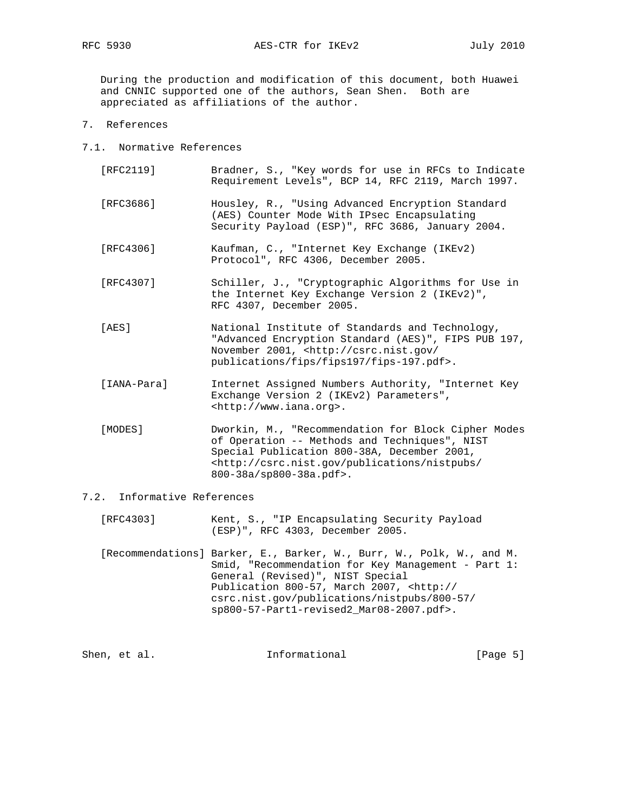During the production and modification of this document, both Huawei and CNNIC supported one of the authors, Sean Shen. Both are appreciated as affiliations of the author.

- 7. References
- 7.1. Normative References
	- [RFC2119] Bradner, S., "Key words for use in RFCs to Indicate Requirement Levels", BCP 14, RFC 2119, March 1997. [RFC3686] Housley, R., "Using Advanced Encryption Standard (AES) Counter Mode With IPsec Encapsulating Security Payload (ESP)", RFC 3686, January 2004. [RFC4306] Kaufman, C., "Internet Key Exchange (IKEv2) Protocol", RFC 4306, December 2005. [RFC4307] Schiller, J., "Cryptographic Algorithms for Use in the Internet Key Exchange Version 2 (IKEv2)", RFC 4307, December 2005. [AES] National Institute of Standards and Technology,
	- "Advanced Encryption Standard (AES)", FIPS PUB 197, November 2001, <http://csrc.nist.gov/ publications/fips/fips197/fips-197.pdf>.
	- [IANA-Para] Internet Assigned Numbers Authority, "Internet Key Exchange Version 2 (IKEv2) Parameters", <http://www.iana.org>.
	- [MODES] Dworkin, M., "Recommendation for Block Cipher Modes of Operation -- Methods and Techniques", NIST Special Publication 800-38A, December 2001, <http://csrc.nist.gov/publications/nistpubs/ 800-38a/sp800-38a.pdf>.

# 7.2. Informative References

- [RFC4303] Kent, S., "IP Encapsulating Security Payload (ESP)", RFC 4303, December 2005.
- [Recommendations] Barker, E., Barker, W., Burr, W., Polk, W., and M. Smid, "Recommendation for Key Management - Part 1: General (Revised)", NIST Special Publication 800-57, March 2007, <http:// csrc.nist.gov/publications/nistpubs/800-57/ sp800-57-Part1-revised2\_Mar08-2007.pdf>.

| Informational<br>Shen, et al. | [Page $5$ ] |  |  |
|-------------------------------|-------------|--|--|
|-------------------------------|-------------|--|--|